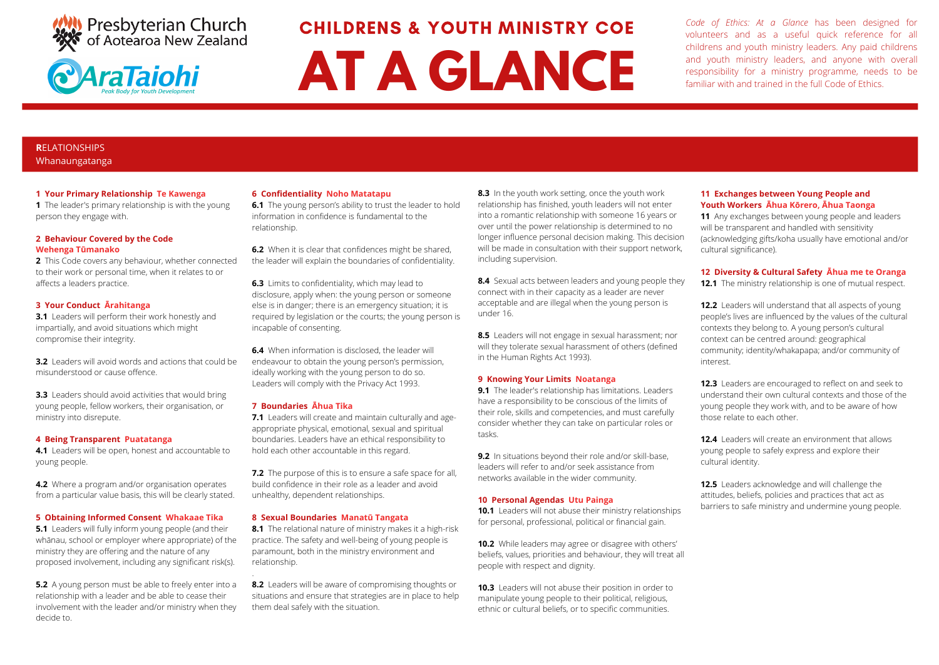



CHILDRENS & YOUTH MINISTRY COE

# **AT A GLANCE**

*Code of Ethics: At a Glance* has been designed for volunteers and as a useful quick reference for all childrens and youth ministry leaders. Any paid childrens and youth ministry leaders, and anyone with overall responsibility for a ministry programme, needs to be familiar with and trained in the full Code of Ethics.

#### **R**ELATIONSHIPS Whanaungatanga

#### **1 Your Primary Relationship Te Kawenga**

**1** The leader's primary relationship is with the young person they engage with.

#### **2 Behaviour Covered by the Code Wehenga Tūmanako**

**2** This Code covers any behaviour, whether connected to their work or personal time, when it relates to or affects a leaders practice.

#### **3 Your Conduct Ārahitanga**

**3.1** Leaders will perform their work honestly and impartially, and avoid situations which might compromise their integrity.

**3.2** Leaders will avoid words and actions that could be misunderstood or cause offence.

**3.3** Leaders should avoid activities that would bring young people, fellow workers, their organisation, or ministry into disrepute.

#### **4 Being Transparent Puatatanga**

**4.1** Leaders will be open, honest and accountable to young people.

**4.2** Where a program and/or organisation operates from a particular value basis, this will be clearly stated.

#### **5 Obtaining Informed Consent Whakaae Tika**

**5.1** Leaders will fully inform young people (and their whānau, school or employer where appropriate) of the ministry they are offering and the nature of any proposed involvement, including any significant risk(s).

**5.2** A young person must be able to freely enter into a relationship with a leader and be able to cease their involvement with the leader and/or ministry when they decide to.

#### **6 Confidentiality Noho Matatapu**

**6.1** The young person's ability to trust the leader to hold information in confidence is fundamental to the relationship.

**6.2** When it is clear that confidences might be shared, the leader will explain the boundaries of confidentiality.

**6.3** Limits to confidentiality, which may lead to disclosure, apply when: the young person or someone else is in danger; there is an emergency situation; it is required by legislation or the courts; the young person is incapable of consenting.

**6.4** When information is disclosed, the leader will endeavour to obtain the young person's permission, ideally working with the young person to do so. Leaders will comply with the Privacy Act 1993.

#### **7 Boundaries Āhua Tika**

.

**7.1** Leaders will create and maintain culturally and ageappropriate physical, emotional, sexual and spiritual boundaries. Leaders have an ethical responsibility to hold each other accountable in this regard.

**7.2** The purpose of this is to ensure a safe space for all, build confidence in their role as a leader and avoid unhealthy, dependent relationships.

#### **8 Sexual Boundaries Manatū Tangata**

**8.1** The relational nature of ministry makes it a high-risk practice. The safety and well-being of young people is paramount, both in the ministry environment and relationship.

**8.2** Leaders will be aware of compromising thoughts or situations and ensure that strategies are in place to help them deal safely with the situation.

**8.3** In the youth work setting, once the youth work relationship has finished, youth leaders will not enter into a romantic relationship with someone 16 years or over until the power relationship is determined to no longer influence personal decision making. This decision will be made in consultation with their support network, including supervision.

**8.4** Sexual acts between leaders and young people they connect with in their capacity as a leader are never acceptable and are illegal when the young person is under 16.

**8.5** Leaders will not engage in sexual harassment; nor will they tolerate sexual harassment of others (defined in the Human Rights Act 1993).

#### **9 Knowing Your Limits Noatanga**

**9.1** The leader's relationship has limitations. Leaders have a responsibility to be conscious of the limits of their role, skills and competencies, and must carefully consider whether they can take on particular roles or tasks.

**9.2** In situations beyond their role and/or skill-base, leaders will refer to and/or seek assistance from networks available in the wider community.

#### **10 Personal Agendas Utu Painga**

**10.1** Leaders will not abuse their ministry relationships for personal, professional, political or financial gain.

**10.2** While leaders may agree or disagree with others' beliefs, values, priorities and behaviour, they will treat all people with respect and dignity.

**10.3** Leaders will not abuse their position in order to manipulate young people to their political, religious, ethnic or cultural beliefs, or to specific communities.

#### **11 Exchanges between Young People and Youth Workers Āhua Kōrero, Āhua Taonga**

**11** Any exchanges between young people and leaders will be transparent and handled with sensitivity (acknowledging gifts/koha usually have emotional and/or cultural significance).

#### **12 Diversity & Cultural Safety Āhua me te Oranga**

**12.1** The ministry relationship is one of mutual respect.

**12.2** Leaders will understand that all aspects of young people's lives are influenced by the values of the cultural contexts they belong to. A young person's cultural context can be centred around: geographical community; identity/whakapapa; and/or community of interest.

**12.3** Leaders are encouraged to reflect on and seek to understand their own cultural contexts and those of the young people they work with, and to be aware of how those relate to each other.

**12.4** Leaders will create an environment that allows young people to safely express and explore their cultural identity.

**12.5** Leaders acknowledge and will challenge the attitudes, beliefs, policies and practices that act as barriers to safe ministry and undermine young people.